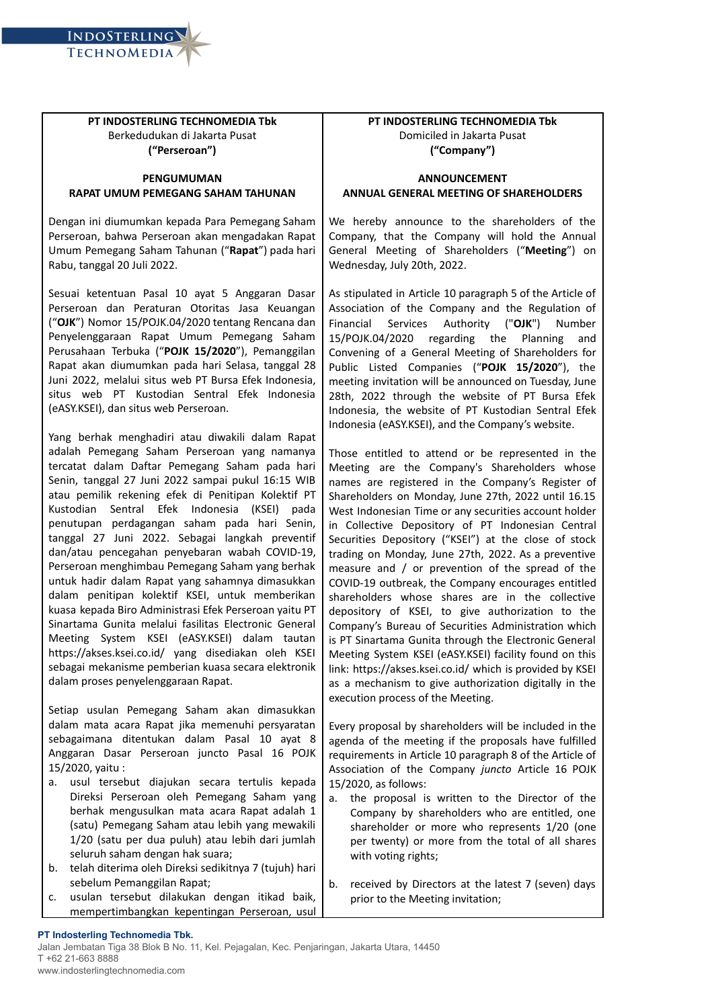

**INDOSTERLING TECHNOMEDIA** 

## **PENGUMUMAN RAPAT UMUM PEMEGANG SAHAM TAHUNAN**

Dengan ini diumumkan kepada Para Pemegang Saham Perseroan, bahwa Perseroan akan mengadakan Rapat Umum Pemegang Saham Tahunan ("**Rapat**") pada hari Rabu, tanggal 20 Juli 2022.

Sesuai ketentuan Pasal 10 ayat 5 Anggaran Dasar Perseroan dan Peraturan Otoritas Jasa Keuangan ("**OJK**") Nomor 15/POJK.04/2020 tentang Rencana dan Penyelenggaraan Rapat Umum Pemegang Saham Perusahaan Terbuka ("**POJK 15/2020**"), Pemanggilan Rapat akan diumumkan pada hari Selasa, tanggal 28 Juni 2022, melalui situs web PT Bursa Efek Indonesia, situs web PT Kustodian Sentral Efek Indonesia (eASY.KSEI), dan situs web Perseroan.

Yang berhak menghadiri atau diwakili dalam Rapat adalah Pemegang Saham Perseroan yang namanya tercatat dalam Daftar Pemegang Saham pada hari Senin, tanggal 27 Juni 2022 sampai pukul 16:15 WIB atau pemilik rekening efek di Penitipan Kolektif PT Kustodian Sentral Efek Indonesia (KSEI) pada penutupan perdagangan saham pada hari Senin, tanggal 27 Juni 2022. Sebagai langkah preventif dan/atau pencegahan penyebaran wabah COVID-19, Perseroan menghimbau Pemegang Saham yang berhak untuk hadir dalam Rapat yang sahamnya dimasukkan dalam penitipan kolektif KSEI, untuk memberikan kuasa kepada Biro Administrasi Efek Perseroan yaitu PT Sinartama Gunita melalui fasilitas Electronic General Meeting System KSEI (eASY.KSEI) dalam tautan https://akses.ksei.co.id/ yang disediakan oleh KSEI sebagai mekanisme pemberian kuasa secara elektronik dalam proses penyelenggaraan Rapat.

Setiap usulan Pemegang Saham akan dimasukkan dalam mata acara Rapat jika memenuhi persyaratan sebagaimana ditentukan dalam Pasal 10 ayat 8 Anggaran Dasar Perseroan juncto Pasal 16 POJK 15/2020, yaitu :

- a. usul tersebut diajukan secara tertulis kepada Direksi Perseroan oleh Pemegang Saham yang berhak mengusulkan mata acara Rapat adalah 1 (satu) Pemegang Saham atau lebih yang mewakili 1/20 (satu per dua puluh) atau lebih dari jumlah seluruh saham dengan hak suara;
- b. telah diterima oleh Direksi sedikitnya 7 (tujuh) hari sebelum Pemanggilan Rapat;
- c. usulan tersebut dilakukan dengan itikad baik, mempertimbangkan kepentingan Perseroan, usul

## **PT INDOSTERLING TECHNOMEDIA Tbk** Domiciled in Jakarta Pusat **("Company")**

## **ANNOUNCEMENT ANNUAL GENERAL MEETING OF SHAREHOLDERS**

We hereby announce to the shareholders of the Company, that the Company will hold the Annual General Meeting of Shareholders ("**Meeting**") on Wednesday, July 20th, 2022.

As stipulated in Article 10 paragraph 5 of the Article of Association of the Company and the Regulation of Financial Services Authority ("**OJK**") Number 15/POJK.04/2020 regarding the Planning and Convening of a General Meeting of Shareholders for Public Listed Companies ("**POJK 15/2020**"), the meeting invitation will be announced on Tuesday, June 28th, 2022 through the website of PT Bursa Efek Indonesia, the website of PT Kustodian Sentral Efek Indonesia (eASY.KSEI), and the Company's website.

Those entitled to attend or be represented in the Meeting are the Company's Shareholders whose names are registered in the Company's Register of Shareholders on Monday, June 27th, 2022 until 16.15 West Indonesian Time or any securities account holder in Collective Depository of PT Indonesian Central Securities Depository ("KSEI") at the close of stock trading on Monday, June 27th, 2022. As a preventive measure and / or prevention of the spread of the COVID-19 outbreak, the Company encourages entitled shareholders whose shares are in the collective depository of KSEI, to give authorization to the Company's Bureau of Securities Administration which is PT Sinartama Gunita through the Electronic General Meeting System KSEI (eASY.KSEI) facility found on this link: https://akses.ksei.co.id/ which is provided by KSEI as a mechanism to give authorization digitally in the execution process of the Meeting.

Every proposal by shareholders will be included in the agenda of the meeting if the proposals have fulfilled requirements in Article 10 paragraph 8 of the Article of Association of the Company *juncto* Article 16 POJK 15/2020, as follows:

- a. the proposal is written to the Director of the Company by shareholders who are entitled, one shareholder or more who represents 1/20 (one per twenty) or more from the total of all shares with voting rights;
- b. received by Directors at the latest 7 (seven) days prior to the Meeting invitation;